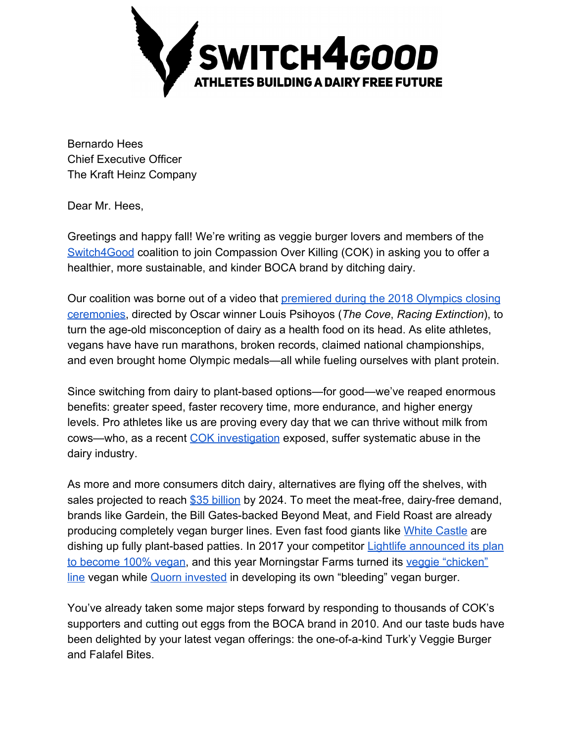

Bernardo Hees Chief Executive Officer The Kraft Heinz Company

Dear Mr. Hees,

Greetings and happy fall! We're writing as veggie burger lovers and members of the [Switch4Good](https://switch4good.org/) coalition to join Compassion Over Killing (COK) in asking you to offer a healthier, more sustainable, and kinder BOCA brand by ditching dairy.

Our coalition was borne out of a video that [premiered during the 2018 Olympics closing](https://www.livekindly.co/vegan-olympians-anti-dairy-olympics-commercian/) [ceremonies](https://www.livekindly.co/vegan-olympians-anti-dairy-olympics-commercian/), directed by Oscar winner Louis Psihoyos (*The Cove*, *Racing Extinction*), to turn the age-old misconception of dairy as a health food on its head. As elite athletes, vegans have have run marathons, broken records, claimed national championships, and even brought home Olympic medals—all while fueling ourselves with plant protein.

Since switching from dairy to plant-based options—for good—we've reaped enormous benefits: greater speed, faster recovery time, more endurance, and higher energy levels. Pro athletes like us are proving every day that we can thrive without milk from cows—who, as a recent [COK investigation](http://cok.net/dairy) exposed, suffer systematic abuse in the dairy industry.

As more and more consumers ditch dairy, alternatives are flying off the shelves, with sales projected to reach [\\$35 billion](https://www.grandviewresearch.com/press-release/global-dairy-alternatives-market) by 2024. To meet the meat-free, dairy-free demand, brands like Gardein, the Bill Gates-backed Beyond Meat, and Field Roast are already producing completely vegan burger lines. Even fast food giants like [White Castle](http://cok.net/blog/2017/04/white-castle-black-bean-slider/) are dishing up fully plant-based patties. In 2017 your competitor **[Lightlife announced its plan](http://cok.net/blog/2017/03/victory-lightlife-goes-vegan/)** [to become 100% vegan](http://cok.net/blog/2017/03/victory-lightlife-goes-vegan/), and this year Morningstar Farms turned its [veggie "chicken"](http://cok.net/blog/2018/07/morningstar-goes-vegan-3-chikn-products/) [line](http://cok.net/blog/2018/07/morningstar-goes-vegan-3-chikn-products/) vegan while [Quorn invested](https://vegnews.com/2018/7/quorn-invests-9-million-to-develop-its-own-bleeding-vegan-burger) in developing its own "bleeding" vegan burger.

You've already taken some major steps forward by responding to thousands of COK's supporters and cutting out eggs from the BOCA brand in 2010. And our taste buds have been delighted by your latest vegan offerings: the one-of-a-kind Turk'y Veggie Burger and Falafel Bites.